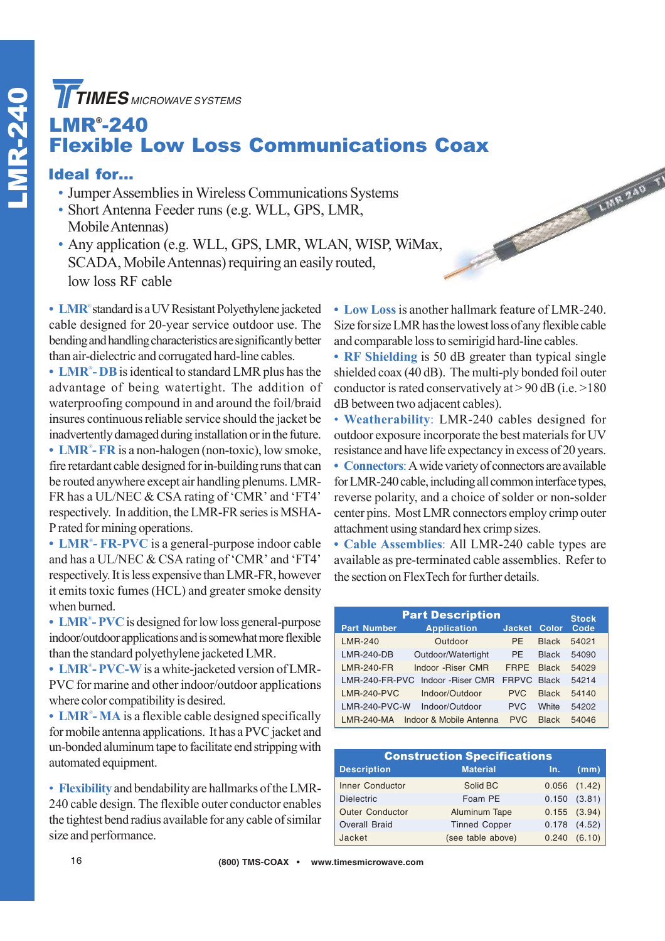**TIMES** MICROWAVE SYSTEMS

#### LMR® -240 Flexible Low Loss Communications Coax

#### Ideal for…

- Jumper Assemblies in Wireless Communications Systems
- Short Antenna Feeder runs (e.g. WLL, GPS, LMR, Mobile Antennas)
- Any application (e.g. WLL, GPS, LMR, WLAN, WISP, WiMax, SCADA, Mobile Antennas) requiring an easily routed, low loss RF cable

**• LMR**® standard is a UV Resistant Polyethylene jacketed cable designed for 20-year service outdoor use. The bending and handling characteristics are significantly better than air-dielectric and corrugated hard-line cables.

**• LMR**® **- DB**is identical to standard LMR plus has the advantage of being watertight. The addition of waterproofing compound in and around the foil/braid insures continuous reliable service should the jacket be inadvertently damaged during installation or in the future.

• LMR<sup>®</sup>- FR is a non-halogen (non-toxic), low smoke, fire retardant cable designed for in-building runs that can be routed anywhere except air handling plenums. LMR-FR has a UL/NEC & CSA rating of 'CMR' and 'FT4' respectively. In addition, the LMR-FR series is MSHA-P rated for mining operations.

**• LMR**® **- FR-PVC** is a general-purpose indoor cable and has a UL/NEC & CSA rating of 'CMR' and 'FT4' respectively. It is less expensive than LMR-FR, however it emits toxic fumes (HCL) and greater smoke density when burned.

**• LMR**® **- PVC**is designed for low loss general-purpose indoor/outdoor applications and is somewhat more flexible than the standard polyethylene jacketed LMR.

**• LMR**® **- PVC-W**is a white-jacketed version of LMR-PVC for marine and other indoor/outdoor applications where color compatibility is desired.

• LMR<sup>®</sup>-MA is a flexible cable designed specifically for mobile antenna applications. It has a PVC jacket and un-bonded aluminum tape to facilitate end stripping with automated equipment.

• **Flexibility** and bendability are hallmarks of the LMR-240 cable design. The flexible outer conductor enables the tightest bend radius available for any cable of similar size and performance.

**• Low Loss**is another hallmark feature of LMR-240. Size for size LMR has the lowest loss of any flexible cable and comparable loss to semirigid hard-line cables.

LINR 240 T

**• RF Shielding** is 50 dB greater than typical single shielded coax (40 dB). The multi-ply bonded foil outer conductor is rated conservatively at  $> 90$  dB (i.e.  $> 180$ ) dB between two adjacent cables).

• **Weatherability**: LMR-240 cables designed for outdoor exposure incorporate the best materials for UV resistance and have life expectancy in excess of 20 years.

**• Connectors**: A wide variety of connectors are available for LMR-240 cable, including all common interface types, reverse polarity, and a choice of solder or non-solder center pins. Most LMR connectors employ crimp outer attachment using standard hex crimp sizes.

**• Cable Assemblies**: All LMR-240 cable types are available as pre-terminated cable assemblies. Refer to the section on FlexTech for further details.

| <b>Part Description</b> |                         |                    |              |       |  |  |  |
|-------------------------|-------------------------|--------------------|--------------|-------|--|--|--|
| <b>Part Number</b>      | <b>Application</b>      | <b>Jacket</b>      | Color        | Code  |  |  |  |
| LMR-240                 | Outdoor                 | <b>PF</b>          | <b>Black</b> | 54021 |  |  |  |
| $LMR-240-DB$            | Outdoor/Watertight      | <b>PF</b>          | <b>Black</b> | 54090 |  |  |  |
| LMR-240-FR              | Indoor - Riser CMR      | <b>FRPF</b>        | <b>Black</b> | 54029 |  |  |  |
| LMR-240-FR-PVC          | Indoor - Riser CMR      | <b>FRPVC Black</b> |              | 54214 |  |  |  |
| <b>LMR-240-PVC</b>      | Indoor/Outdoor          | <b>PVC</b>         | <b>Black</b> | 54140 |  |  |  |
| $LMR-240-PVC-W$         | Indoor/Outdoor          | <b>PVC</b>         | White        | 54202 |  |  |  |
| LMR-240-MA              | Indoor & Mobile Antenna | <b>PVC</b>         | <b>Black</b> | 54046 |  |  |  |

| <b>Construction Specifications</b> |                      |       |                  |  |  |  |  |  |
|------------------------------------|----------------------|-------|------------------|--|--|--|--|--|
| <b>Description</b>                 | <b>Material</b>      | In.   | (mm)             |  |  |  |  |  |
| <b>Inner Conductor</b>             | Solid BC             | 0.056 | (1.42)           |  |  |  |  |  |
| <b>Dielectric</b>                  | Foam PE              | 0.150 | (3.81)           |  |  |  |  |  |
| <b>Outer Conductor</b>             | Aluminum Tape        |       | $0.155$ $(3.94)$ |  |  |  |  |  |
| <b>Overall Braid</b>               | <b>Tinned Copper</b> | 0.178 | (4.52)           |  |  |  |  |  |
| Jacket                             | (see table above)    | 0.240 | (6.10)           |  |  |  |  |  |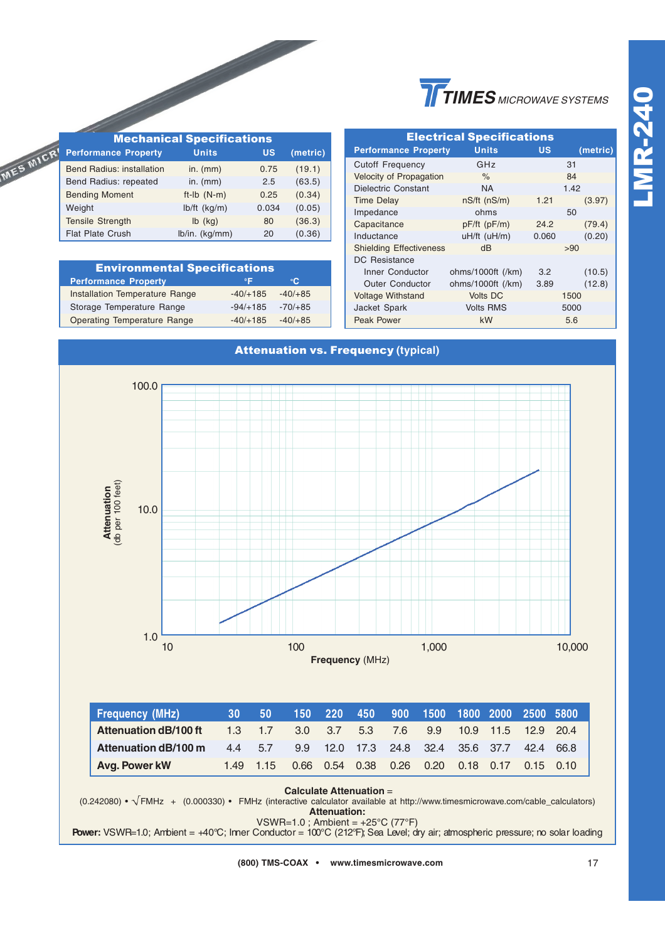|                                  | <b>Mechanical Specifications</b> |       |          |  |  |  |
|----------------------------------|----------------------------------|-------|----------|--|--|--|
| <b>Performance Property</b>      | <b>Units</b>                     | US    | (metric) |  |  |  |
| <b>Bend Radius: installation</b> | in. $(mm)$                       | 0.75  | (19.1)   |  |  |  |
| Bend Radius: repeated            | in. $(mm)$                       | 2.5   | (63.5)   |  |  |  |
| <b>Bending Moment</b>            | $ft-lb$ (N-m)                    | 0.25  | (0.34)   |  |  |  |
| Weight                           | $lb/ft$ (kg/m)                   | 0.034 | (0.05)   |  |  |  |
| <b>Tensile Strength</b>          | $lb$ (kg)                        | 80    | (36.3)   |  |  |  |
| <b>Flat Plate Crush</b>          | lb/in. (kg/mm)                   | 20    | (0.36)   |  |  |  |

MES MICR

| <b>Environmental Specifications</b>   |            |           |  |  |  |  |  |
|---------------------------------------|------------|-----------|--|--|--|--|--|
| <b>Performance Property</b>           | ٥F         | ۰C        |  |  |  |  |  |
| <b>Installation Temperature Range</b> | $-40/+185$ | $-40/+85$ |  |  |  |  |  |
| Storage Temperature Range             | $-94/+185$ | $-70/+85$ |  |  |  |  |  |
| <b>Operating Temperature Range</b>    | $-40/+185$ | $-40/+85$ |  |  |  |  |  |

| <b>Electrical Specifications</b> |                    |       |          |  |  |  |  |
|----------------------------------|--------------------|-------|----------|--|--|--|--|
| <b>Performance Property</b>      | <b>Units</b>       | บร    | (metric) |  |  |  |  |
| <b>Cutoff Frequency</b>          | GHz                |       | 31       |  |  |  |  |
| Velocity of Propagation          | $\%$               |       | 84       |  |  |  |  |
| <b>Dielectric Constant</b>       | <b>NA</b>          |       | 1.42     |  |  |  |  |
| <b>Time Delay</b>                | $nS/ft$ ( $nS/m$ ) | 1.21  | (3.97)   |  |  |  |  |
| Impedance                        | ohms               |       | 50       |  |  |  |  |
| Capacitance                      | $pF/ft$ ( $pF/m$ ) | 24.2  | (79.4)   |  |  |  |  |
| Inductance                       | uH/ft (uH/m)       | 0.060 | (0.20)   |  |  |  |  |
| <b>Shielding Effectiveness</b>   | dB                 |       | >90      |  |  |  |  |
| DC Resistance                    |                    |       |          |  |  |  |  |
| Inner Conductor                  | ohms/1000ft (/km)  | 3.2   | (10.5)   |  |  |  |  |
| <b>Outer Conductor</b>           | ohms/1000ft (/km)  | 3.89  | (12.8)   |  |  |  |  |
| <b>Voltage Withstand</b>         | <b>Volts DC</b>    |       | 1500     |  |  |  |  |
| <b>Jacket Spark</b>              | <b>Volts RMS</b>   |       | 5000     |  |  |  |  |
| Peak Power                       | kW                 |       | 5.6      |  |  |  |  |



**Attenuation:**

VSWR=1.0 ; Ambient = +25°C (77°F) **Power:** VSWR=1.0; Ambient = +40°C; Inner Conductor = 100°C (212°F); Sea Level; dry air; atmospheric pressure; no solar loading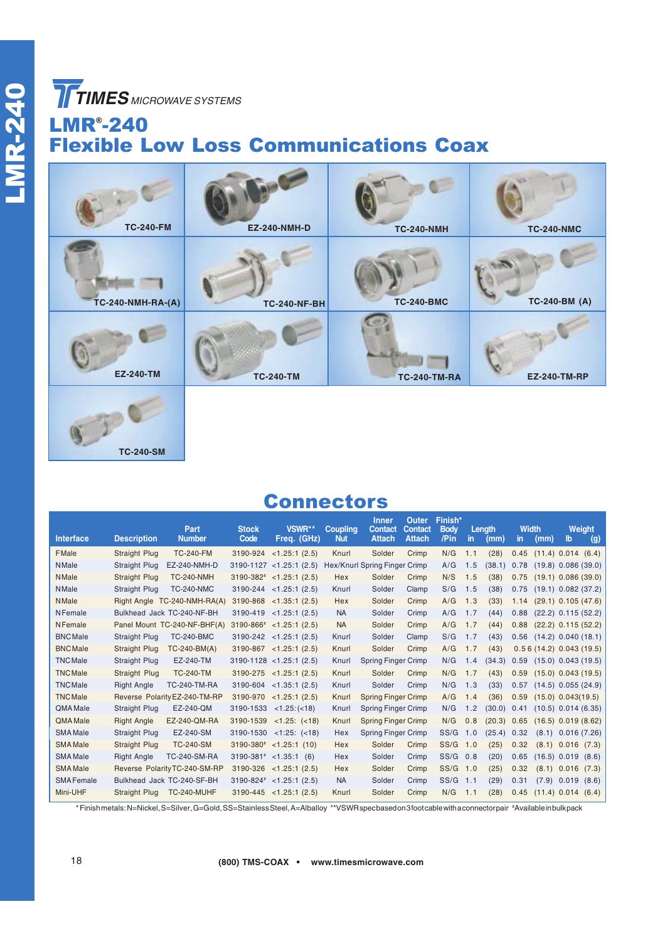**TIMES** MICROWAVE SYSTEMS

**TC-240-SM**

# LMR® -240 Flexible Low Loss Communications Coax

| <b>TC-240-FM</b>         | <b>EZ-240-NMH-D</b> | <b>TC-240-NMH</b>   | <b>TC-240-NMC</b>   |
|--------------------------|---------------------|---------------------|---------------------|
| <b>TC-240-NMH-RA-(A)</b> | <b>TC-240-NF-BH</b> | <b>TC-240-BMC</b>   | TC-240-BM (A)       |
| <b>EZ-240-TM</b>         | <b>TC-240-TM</b>    | <b>TC-240-TM-RA</b> | <b>EZ-240-TM-RP</b> |
|                          |                     |                     |                     |

### **Connectors**

| <b>Interface</b> | <b>Description</b>   | Part<br><b>Number</b>         | <b>Stock</b><br>Code | VSWR**<br>Freq. (GHz)       | <b>Coupling</b><br><b>Nut</b> | <b>Inner</b><br><b>Contact</b><br><b>Attach</b> | Outer<br><b>Contact</b><br><b>Attach</b> | Finish*<br><b>Body</b><br>/Pin | in. | Length<br>(mm) | <b>Width</b><br>in. | (mm)                      | lb                     | Weight<br>$\left( 9 \right)$ |
|------------------|----------------------|-------------------------------|----------------------|-----------------------------|-------------------------------|-------------------------------------------------|------------------------------------------|--------------------------------|-----|----------------|---------------------|---------------------------|------------------------|------------------------------|
| <b>FMale</b>     | <b>Straight Plug</b> | <b>TC-240-FM</b>              | 3190-924             | <1.25:1(2.5)                | Knurl                         | Solder                                          | Crimp                                    | N/G                            | 1.1 | (28)           | 0.45                | $(11.4)$ 0.014 $(6.4)$    |                        |                              |
| <b>NMale</b>     | Straight Plug        | EZ-240-NMH-D                  |                      | $3190-1127$ < 1.25:1 (2.5)  |                               | Hex/Knurl Spring Finger Crimp                   |                                          | A/G                            | 1.5 | (38.1)         | 0.78                | $(19.8)$ 0.086 $(39.0)$   |                        |                              |
| <b>NMale</b>     | <b>Straight Plug</b> | <b>TC-240-NMH</b>             |                      | $3190-382^*$ < 1.25:1 (2.5) | Hex                           | Solder                                          | Crimp                                    | N/S                            | 1.5 | (38)           | 0.75                | $(19.1)$ 0.086 $(39.0)$   |                        |                              |
| <b>NMale</b>     | Straight Plug        | <b>TC-240-NMC</b>             |                      | $3190 - 244$ < 1.25:1 (2.5) | Knurl                         | Solder                                          | Clamp                                    | S/G                            | 1.5 | (38)           | 0.75                | $(19.1)$ 0.082 $(37.2)$   |                        |                              |
| <b>NMale</b>     |                      | Right Angle TC-240-NMH-RA(A)  | 3190-868             | <1.35:1(2.5)                | Hex                           | Solder                                          | Crimp                                    | A/G                            | 1.3 | (33)           | 1.14                | $(29.1)$ 0.105 $(47.6)$   |                        |                              |
| <b>NFemale</b>   |                      | Bulkhead Jack TC-240-NF-BH    | 3190-419             | <1.25:1(2.5)                | <b>NA</b>                     | Solder                                          | Crimp                                    | A/G                            | 1.7 | (44)           | 0.88                | $(22.2)$ 0.115 $(52.2)$   |                        |                              |
| <b>NFemale</b>   |                      | Panel Mount TC-240-NF-BHF(A)  |                      | $3190-866^*$ < 1.25:1 (2.5) | <b>NA</b>                     | Solder                                          | Crimp                                    | A/G                            | 1.7 | (44)           | 0.88                | $(22.2)$ 0.115 $(52.2)$   |                        |                              |
| <b>BNC</b> Male  | Straight Plug        | <b>TC-240-BMC</b>             | 3190-242             | <1.25:1(2.5)                | Knurl                         | Solder                                          | Clamp                                    | S/G                            | 1.7 | (43)           | 0.56                | $(14.2)$ 0.040 $(18.1)$   |                        |                              |
| <b>BNC</b> Male  | <b>Straight Plug</b> | $TC-240-BM(A)$                |                      | $3190-867$ < 1.25:1 (2.5)   | Knurl                         | Solder                                          | Crimp                                    | A/G                            | 1.7 | (43)           |                     | $0.56(14.2)$ 0.043 (19.5) |                        |                              |
| <b>TNC</b> Male  | Straight Plug        | EZ-240-TM                     |                      | $3190-1128$ < 1.25:1 (2.5)  | Knurl                         | <b>Spring Finger Crimp</b>                      |                                          | N/G                            | 1.4 | (34.3)         | 0.59                | $(15.0)$ 0.043 $(19.5)$   |                        |                              |
| <b>TNC</b> Male  | Straight Plug        | <b>TC-240-TM</b>              |                      | $3190-275$ < 1.25:1 (2.5)   | Knurl                         | Solder                                          | Crimp                                    | N/G                            | 1.7 | (43)           | 0.59                | $(15.0)$ 0.043 $(19.5)$   |                        |                              |
| <b>TNCMale</b>   | <b>Right Angle</b>   | <b>TC-240-TM-RA</b>           | 3190-604             | <1.35:1(2.5)                | Knurl                         | Solder                                          | Crimp                                    | N/G                            | 1.3 | (33)           | 0.57                | $(14.5)$ 0.055 (24.9)     |                        |                              |
| <b>TNCMale</b>   |                      | Reverse Polarity EZ-240-TM-RP | 3190-970             | <1.25:1(2.5)                | Knurl                         | <b>Spring Finger Crimp</b>                      |                                          | A/G                            | 1.4 | (36)           | 0.59                | $(15.0)$ 0.043 $(19.5)$   |                        |                              |
| QMA Male         | Straight Plug        | EZ-240-QM                     |                      | $3190-1533$ < 1.25: (< 18)  | Knurl                         | <b>Spring Finger Crimp</b>                      |                                          | N/G                            | 1.2 | (30.0)         | 0.41                | $(10.5)$ 0.014 $(6.35)$   |                        |                              |
| QMA Male         | <b>Right Angle</b>   | EZ-240-QM-RA                  | 3190-1539            | $<1.25$ : $(<18)$           | Knurl                         | <b>Spring Finger Crimp</b>                      |                                          | N/G                            | 0.8 | (20.3)         | 0.65                | $(16.5)$ 0.019 $(8.62)$   |                        |                              |
| <b>SMA Male</b>  | Straight Plug        | EZ-240-SM                     |                      | $3190-1530$ <1:25: (<18)    | Hex                           | <b>Spring Finger Crimp</b>                      |                                          | SS/G                           | 1.0 | (25.4)         | 0.32                |                           | $(8.1)$ 0.016 $(7.26)$ |                              |
| <b>SMA Male</b>  | <b>Straight Plug</b> | <b>TC-240-SM</b>              |                      | $3190-380^*$ < 1.25:1 (10)  | Hex                           | Solder                                          | Crimp                                    | SS/G                           | 1.0 | (25)           | 0.32                | (8.1)                     | 0.016                  | (7.3)                        |
| <b>SMA Male</b>  | <b>Right Angle</b>   | <b>TC-240-SM-RA</b>           |                      | $3190-381^*$ < 1.35:1 (6)   | Hex                           | Solder                                          | Crimp                                    | SS/G                           | 0.8 | (20)           | 0.65                |                           | (16.5) 0.019           | (8.6)                        |
| <b>SMA</b> Male  |                      | Reverse Polarity TC-240-SM-RP | 3190-326             | <1.25:1(2.5)                | Hex                           | Solder                                          | Crimp                                    | SS/G                           | 1.0 | (25)           | 0.32                | (8.1)                     | 0.016                  | (7.3)                        |
| <b>SMAFemale</b> |                      | Bulkhead Jack TC-240-SF-BH    |                      | $3190-824$ < 1.25:1 (2.5)   | <b>NA</b>                     | Solder                                          | Crimp                                    | SS/G                           | 1.1 | (29)           | 0.31                | (7.9)                     | 0.019                  | (8.6)                        |
| Mini-UHF         | Straight Plug        | <b>TC-240-MUHF</b>            |                      | $3190-445$ < 1.25:1 (2.5)   | Knurl                         | Solder                                          | Crimp                                    | N/G                            | 1.1 | (28)           | 0.45                | $(11.4)$ 0.014 $(6.4)$    |                        |                              |

\* Finish metals: N=Nickel, S=Silver, G=Gold, SS=Stainless Steel, A=Alballoy \*\*VSWR spec based on 3 foot cable with a connector pair #Available in bulk pack